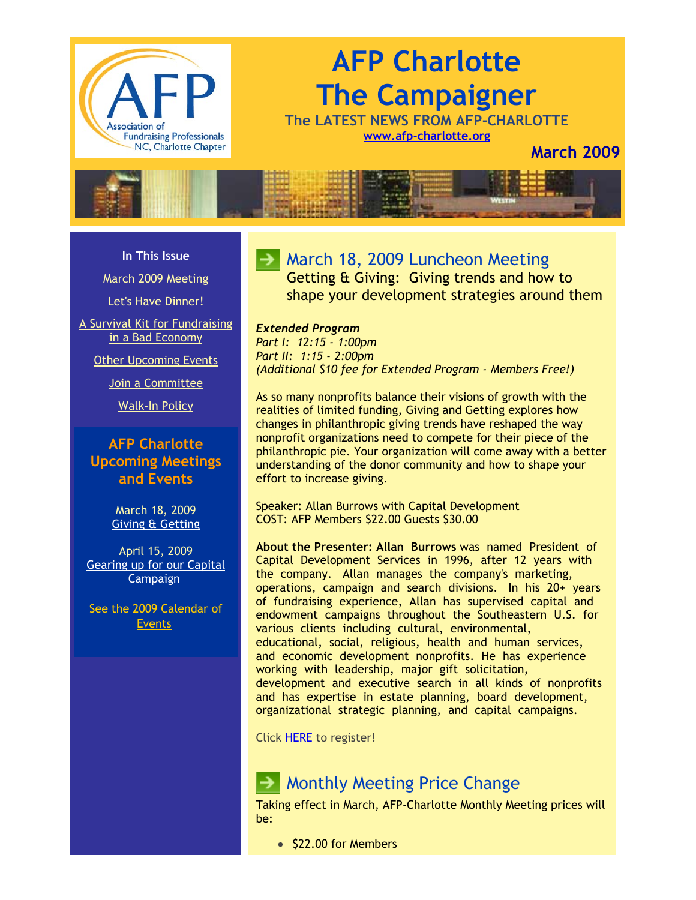

# **AFP Charlotte The Campaigner**

**The LATEST NEWS FROM AFP-CHARLOTTE [www.afp-charlotte.org](http://www.afp-charlotte.org/)**

**March 2009**



#### **In This Issue**

[March 2009 Meeting](http://archive.constantcontact.com/fs051/1101610725496/archive/1102436578377.html#LETTER.BLOCK7)

[Let's Have Dinner!](http://archive.constantcontact.com/fs051/1101610725496/archive/1102436578377.html#LETTER.BLOCK11)

[A Survival Kit for Fundraising](http://archive.constantcontact.com/fs051/1101610725496/archive/1102436578377.html#LETTER.BLOCK12) in a Bad Economy

[Other Upcoming Events](http://archive.constantcontact.com/fs051/1101610725496/archive/1102436578377.html#LETTER.BLOCK14)

[Join a Committee](http://archive.constantcontact.com/fs051/1101610725496/archive/1102436578377.html#LETTER.BLOCK17)

[Walk-In Policy](http://archive.constantcontact.com/fs051/1101610725496/archive/1102436578377.html#LETTER.BLOCK19)

### **AFP Charlotte Upcoming Meetings and Events**

March 18, 2009 [Giving & Getting](http://www.afp-charlotte.org/rsvp_details.html?id=2218)

April 15, 2009 [Gearing up for our Capital](http://www.afp-charlotte.org/rsvp_details.html?id=2219) Campaign

[See the 2009 Calendar of](http://www.afp-charlotte.org/rsvp.html) **Events** 

## **March 18, 2009 Luncheon Meeting**

Getting & Giving: Giving trends and how to shape your development strategies around them

## *Extended Program*

*Part I: 12:15 - 1:00pm Part II: 1:15 - 2:00pm (Additional \$10 fee for Extended Program - Members Free!)*

As so many nonprofits balance their visions of growth with the realities of limited funding, Giving and Getting explores how changes in philanthropic giving trends have reshaped the way nonprofit organizations need to compete for their piece of the philanthropic pie. Your organization will come away with a better understanding of the donor community and how to shape your effort to increase giving.

Speaker: Allan Burrows with Capital Development COST: AFP Members \$22.00 Guests \$30.00

**About the Presenter: Allan Burrows** was named President of Capital Development Services in 1996, after 12 years with the company. Allan manages the company's marketing, operations, campaign and search divisions. In his 20+ years of fundraising experience, Allan has supervised capital and endowment campaigns throughout the Southeastern U.S. for various clients including cultural, environmental, educational, social, religious, health and human services, and economic development nonprofits. He has experience working with leadership, major gift solicitation, development and executive search in all kinds of nonprofits and has expertise in estate planning, board development, organizational strategic planning, and capital campaigns.

Click [HERE t](http://www.afp-charlotte.org/rsvp_details.html?id=2218)o register!

## $\rightarrow$  Monthly Meeting Price Change

Taking effect in March, AFP-Charlotte Monthly Meeting prices will be:

• \$22.00 for Members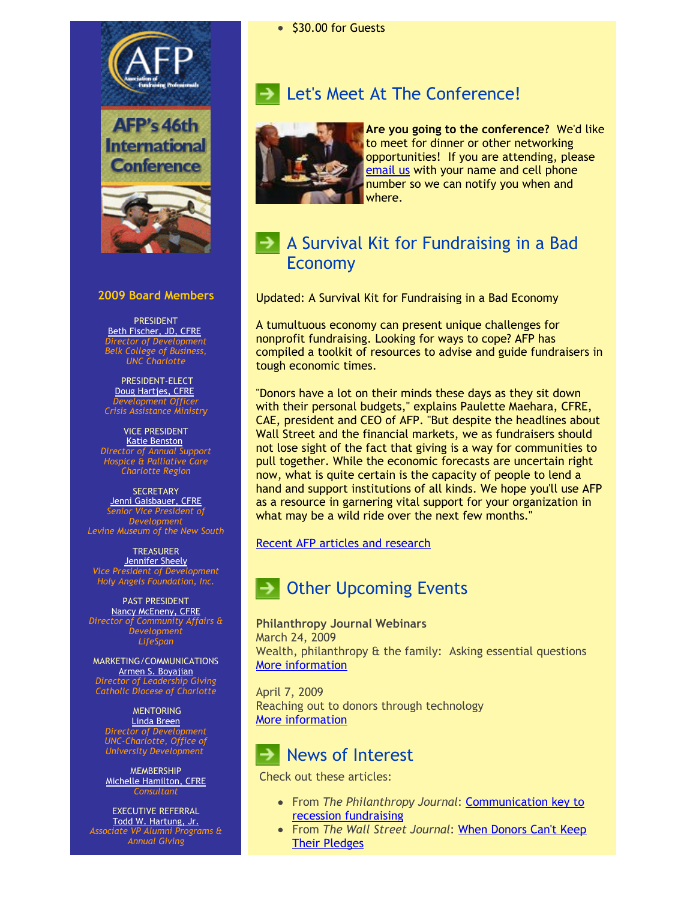

#### **2009 Board Members**

PRESIDENT [Beth Fischer, JD, CFRE](mailto:beth.fischer@uncc.edu) *Director of Development Belk College of Business, UNC Charlotte*

PRESIDENT-ELECT [Doug Hartjes, CFRE](mailto:dhartjes@crisisassistance.org) *Development Officer Crisis Assistance Ministry*

VICE PRESIDENT **[Katie Benston](mailto:benstonk@hpccr.org)** *Director of Annual Support Hospice & Palliative Care Charlotte Region*

**SECRETARY** [Jenni Gaisbauer, CFRE](mailto:jgaisbauer@museumofthenewsouth.org) *Senior Vice President of Development Levine Museum of the New South*

TREASURER [Jennifer Sheely](mailto:jennifers@holyangelsnc.org) *Vice President of Development Holy Angels Foundation, Inc.*

#### PAST PRESIDENT

[Nancy McEneny, CFRE](mailto:nmceneny@lifespanservices.org) *Director of Community Affairs & Development LifeSpan*

MARKETING/COMMUNICATIONS [Armen S. Boyajian](mailto:asboyajian@charlottediocese.org) *Director of Leadership Giving Catholic Diocese of Charlotte*

**MENTORING** [Linda Breen](mailto:lbreen@uncc.edu) *Director of Development UNC-Charlotte, Office of University Development*

**MEMBERSHIP** [Michelle Hamilton, CFRE](mailto:michelle@michellehamiltononline.com) *Consultant*

EXECUTIVE REFERRAL [Todd W. Hartung, Jr.](mailto:Hartungt@queens.edu) *Associate VP Alumni Programs & Annual Giving*

## **Let's Meet At The Conference!**



**Are you going to the conference?** We'd like to meet for dinner or other networking opportunities! If you are attending, please [email us](mailto:info@afp-charlotte.org) with your name and cell phone number so we can notify you when and where.

## A Survival Kit for Fundraising in a Bad Economy

Updated: A Survival Kit for Fundraising in a Bad Economy

A tumultuous economy can present unique challenges for nonprofit fundraising. Looking for ways to cope? AFP has compiled a toolkit of resources to advise and guide fundraisers in tough economic times.

"Donors have a lot on their minds these days as they sit down with their personal budgets," explains Paulette Maehara, CFRE, CAE, president and CEO of AFP. "But despite the headlines about Wall Street and the financial markets, we as fundraisers should not lose sight of the fact that giving is a way for communities to pull together. While the economic forecasts are uncertain right now, what is quite certain is the capacity of people to lend a hand and support institutions of all kinds. We hope you'll use AFP as a resource in garnering vital support for your organization in what may be a wild ride over the next few months."

#### [Recent AFP articles and research](http://www.afpnet.org/ka/ka-3.cfm?folder_id=2545&content_item_id=24683)

## Other Upcoming Events

**Philanthropy Journal Webinars** March 24, 2009 Wealth, philanthropy & the family: Asking essential questions [More information](http://www.philanthropyjournal.org/nonprofit-webinars)

April 7, 2009 Reaching out to donors through technology [More information](http://www.philanthropyjournal.org/nonprofit-webinars)

## News of Interest

Check out these articles:

- From *[The Philanthropy Journal](http://www.philanthropyjournal.org/resources/special-reports/fundraising/communication-key-recession-fundraising)*: Communication key to recession fundraising
- From *The Wall Street Journal*[: When Donors Can't Keep](http://online.wsj.com/article/SB123299977978016597.html) Their Pledges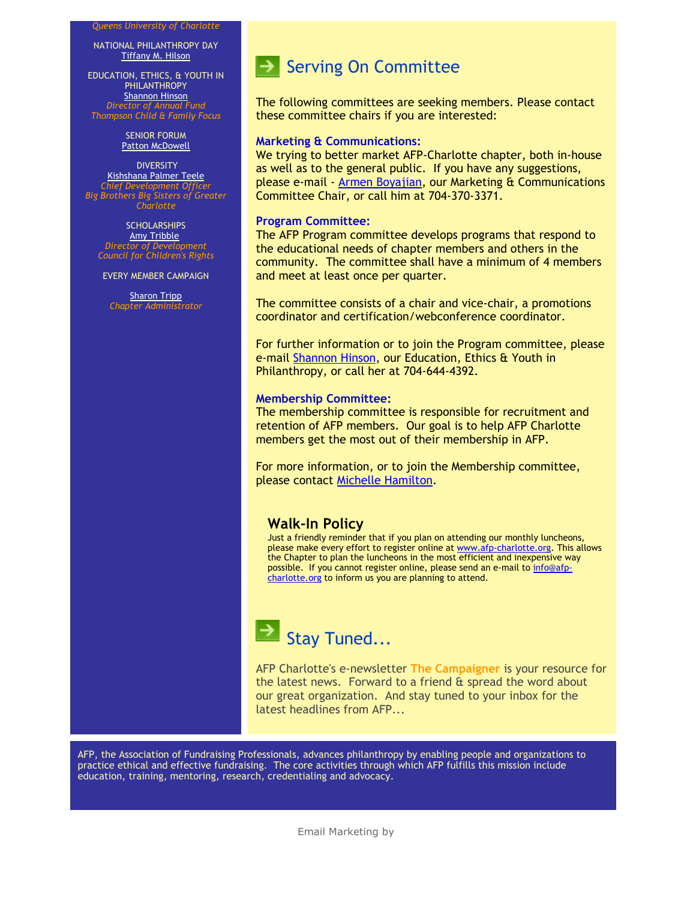#### *Queens University of Charlotte*

NATIONAL PHILANTHROPY DAY [Tiffany M. Hilson](mailto:tiffanyhilson@yahoo.com)

EDUCATION, ETHICS, & YOUTH IN PHILANTHROPY [Shannon Hinson](mailto:shinson@thompsoncff.org) *Director of Annual Fund Thompson Child & Family Focus*

> SENIOR FORUM **[Patton McDowell](mailto:pattonmcd@aol.com)**

**DIVERSITY** [Kishshana Palmer Teele](mailto:kishshana.teele@gmail.com) *Chief Development Officer Big Brothers Big Sisters of Greater Charlotte*

**SCHOLARSHIPS [Amy Tribble](mailto:amy@cfcrights.org)** *Director of Development Council for Children's Rights*

EVERY MEMBER CAMPAIGN

**[Sharon Tripp](mailto:info@afp-charlotte.org)** *Chapter Administrator*

## $\rightarrow$  Serving On Committee

The following committees are seeking members. Please contact these committee chairs if you are interested:

#### **Marketing & Communications:**

We trying to better market AFP-Charlotte chapter, both in-house as well as to the general public. If you have any suggestions, please e-mail - [Armen Boyajian,](mailto:asboyajian@charlottediocese.org) our Marketing & Communications Committee Chair, or call him at 704-370-3371.

#### **Program Committee:**

The AFP Program committee develops programs that respond to the educational needs of chapter members and others in the community. The committee shall have a minimum of 4 members and meet at least once per quarter.

The committee consists of a chair and vice-chair, a promotions coordinator and certification/webconference coordinator.

For further information or to join the Program committee, please e-mail [Shannon Hinson,](mailto:shinson@thompsoncff.org) our Education, Ethics & Youth in Philanthropy, or call her at 704-644-4392.

#### **Membership Committee:**

The membership committee is responsible for recruitment and retention of AFP members. Our goal is to help AFP Charlotte members get the most out of their membership in AFP.

For more information, or to join the Membership committee, please contact [Michelle Hamilton.](mailto:michelle@michellehamiltononline.com)

#### **Walk-In Policy**

Just a friendly reminder that if you plan on attending our monthly luncheons, please make every effort to register online at [www.afp-charlotte.org.](http://www.afp-charlotte.org/) This allows the Chapter to plan the luncheons in the most efficient and inexpensive way [possible. If you cannot register online, please send an e-mail to info@afp](mailto:info@afp-charlotte.org)charlotte.org to inform us you are planning to attend.



AFP Charlotte's e-newsletter **The Campaigner** is your resource for the latest news. Forward to a friend & spread the word about our great organization. And stay tuned to your inbox for the latest headlines from AFP...

AFP, the Association of Fundraising Professionals, advances philanthropy by enabling people and organizations to practice ethical and effective fundraising. The core activities through which AFP fulfills this mission include education, training, mentoring, research, credentialing and advocacy.